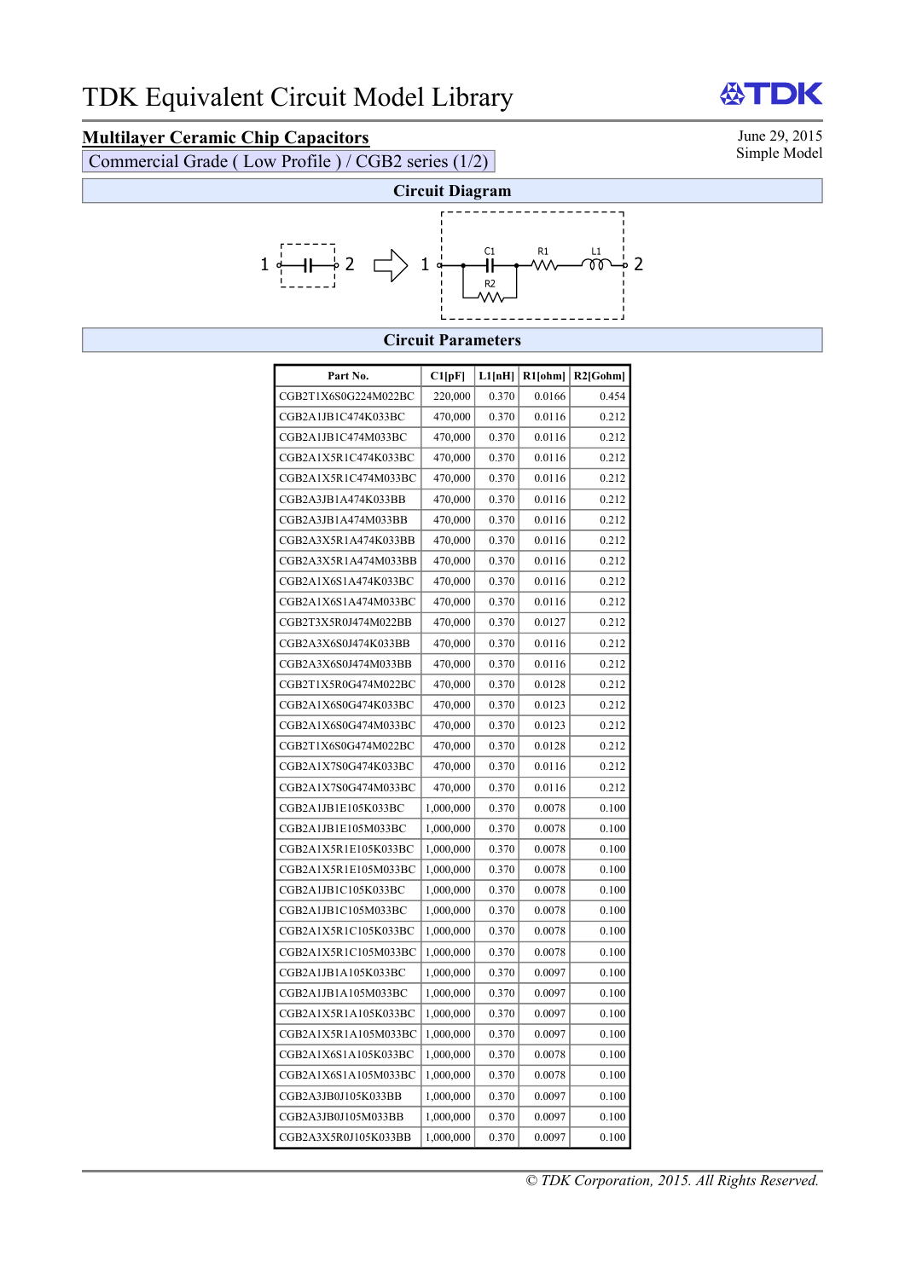## **Multilayer Ceramic Chip Capacitors** June 29, 2015<br>Commercial Grade (Low Profile) / CGP2 series (1/2) Simple Model

Commercial Grade ( Low Profile ) / CGB2 series  $(1/2)$ 



## **Circuit Parameters**

| Part No.             | Cl[pF]    | L1[nH] | R1[ohm] | $R2$ [Gohm] |
|----------------------|-----------|--------|---------|-------------|
| CGB2T1X6S0G224M022BC | 220,000   | 0.370  | 0.0166  | 0.454       |
| CGB2A1JB1C474K033BC  | 470,000   | 0.370  | 0.0116  | 0.212       |
| CGB2A1JB1C474M033BC  | 470,000   | 0.370  | 0.0116  | 0.212       |
| CGB2A1X5R1C474K033BC | 470,000   | 0.370  | 0.0116  | 0.212       |
| CGB2A1X5R1C474M033BC | 470,000   | 0.370  | 0.0116  | 0.212       |
| CGB2A3JB1A474K033BB  | 470,000   | 0.370  | 0.0116  | 0.212       |
| CGB2A3JB1A474M033BB  | 470,000   | 0.370  | 0.0116  | 0.212       |
| CGB2A3X5R1A474K033BB | 470,000   | 0.370  | 0.0116  | 0.212       |
| CGB2A3X5R1A474M033BB | 470,000   | 0.370  | 0.0116  | 0.212       |
| CGB2A1X6S1A474K033BC | 470,000   | 0.370  | 0.0116  | 0.212       |
| CGB2A1X6S1A474M033BC | 470,000   | 0.370  | 0.0116  | 0.212       |
| CGB2T3X5R0J474M022BB | 470,000   | 0.370  | 0.0127  | 0.212       |
| CGB2A3X6S0J474K033BB | 470,000   | 0.370  | 0.0116  | 0.212       |
| CGB2A3X6S0J474M033BB | 470,000   | 0.370  | 0.0116  | 0.212       |
| CGB2T1X5R0G474M022BC | 470,000   | 0.370  | 0.0128  | 0.212       |
| CGB2A1X6S0G474K033BC | 470,000   | 0.370  | 0.0123  | 0.212       |
| CGB2A1X6S0G474M033BC | 470,000   | 0.370  | 0.0123  | 0.212       |
| CGB2T1X6S0G474M022BC | 470,000   | 0.370  | 0.0128  | 0.212       |
| CGB2A1X7S0G474K033BC | 470,000   | 0.370  | 0.0116  | 0.212       |
| CGB2A1X7S0G474M033BC | 470,000   | 0.370  | 0.0116  | 0.212       |
| CGB2A1JB1E105K033BC  | 1,000,000 | 0.370  | 0.0078  | 0.100       |
| CGB2A1JB1E105M033BC  | 1,000,000 | 0.370  | 0.0078  | 0.100       |
| CGB2A1X5R1E105K033BC | 1,000,000 | 0.370  | 0.0078  | 0.100       |
| CGB2A1X5R1E105M033BC | 1,000,000 | 0.370  | 0.0078  | 0.100       |
| CGB2A1JB1C105K033BC  | 1,000,000 | 0.370  | 0.0078  | 0.100       |
| CGB2A1JB1C105M033BC  | 1,000,000 | 0.370  | 0.0078  | 0.100       |
| CGB2A1X5R1C105K033BC | 1,000,000 | 0.370  | 0.0078  | 0.100       |
| CGB2A1X5R1C105M033BC | 1,000,000 | 0.370  | 0.0078  | 0.100       |
| CGB2A1JB1A105K033BC  | 1,000,000 | 0.370  | 0.0097  | 0.100       |
| CGB2A1JB1A105M033BC  | 1,000,000 | 0.370  | 0.0097  | 0.100       |
| CGB2A1X5R1A105K033BC | 1,000,000 | 0.370  | 0.0097  | 0.100       |
| CGB2A1X5R1A105M033BC | 1,000,000 | 0.370  | 0.0097  | 0.100       |
| CGB2A1X6S1A105K033BC | 1,000,000 | 0.370  | 0.0078  | 0.100       |
| CGB2A1X6S1A105M033BC | 1,000,000 | 0.370  | 0.0078  | 0.100       |
| CGB2A3JB0J105K033BB  | 1,000,000 | 0.370  | 0.0097  | 0.100       |
| CGB2A3JB0J105M033BB  | 1,000,000 | 0.370  | 0.0097  | 0.100       |
| CGB2A3X5R0J105K033BB | 1,000,000 | 0.370  | 0.0097  | 0.100       |

份

DK